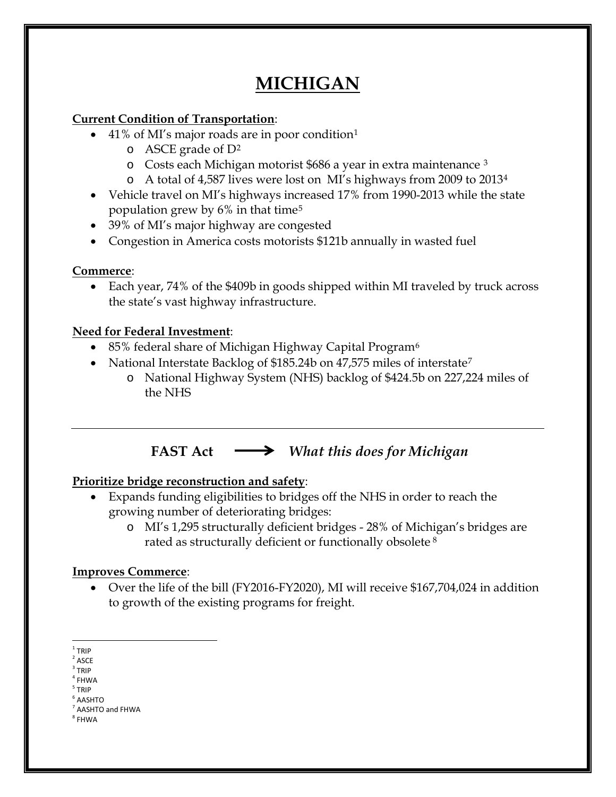# **MICHIGAN**

### **Current Condition of Transportation**:

- 4[1](#page-0-0)% of MI's major roads are in poor condition<sup>1</sup>
	- $\circ$  ASCE grade of  $D^2$  $D^2$
	- o Costs each Michigan motorist \$686 a year in extra maintenance [3](#page-0-2)
	- o A total of 4,587 lives were lost on MI's highways from 2009 to 2013[4](#page-0-3)
- Vehicle travel on MI's highways increased 17% from 1990-2013 while the state population grew by  $6\%$  in that time<sup>[5](#page-0-4)</sup>
- 39% of MI's major highway are congested
- Congestion in America costs motorists \$121b annually in wasted fuel

### **Commerce**:

• Each year, 74% of the \$409b in goods shipped within MI traveled by truck across the state's vast highway infrastructure.

### **Need for Federal Investment**:

- 85% federal share of Michigan Highway Capital Program<sup>[6](#page-0-5)</sup>
- National Interstate Backlog of \$185.24b on 4[7](#page-0-6),575 miles of interstate<sup>7</sup>
	- o National Highway System (NHS) backlog of \$424.5b on 227,224 miles of the NHS

# **FAST Act** *What this does for Michigan*

## **Prioritize bridge reconstruction and safety**:

- Expands funding eligibilities to bridges off the NHS in order to reach the growing number of deteriorating bridges:
	- o MI's 1,295 structurally deficient bridges 28% of Michigan's bridges are rated as structurally deficient or functionally obsolete [8](#page-0-7)

### **Improves Commerce**:

• Over the life of the bill (FY2016-FY2020), MI will receive \$167,704,024 in addition to growth of the existing programs for freight.

<span id="page-0-0"></span> $1$  TRIP

<span id="page-0-1"></span> $2$  ASCE

<span id="page-0-2"></span> $3$  TRIP

 $4$  FHWA

<span id="page-0-4"></span><span id="page-0-3"></span><sup>5</sup> TRIP  $6$  AASHTO

<span id="page-0-5"></span> $<sup>7</sup>$  AASHTO and FHWA</sup>

<span id="page-0-7"></span><span id="page-0-6"></span><sup>8</sup> FHWA